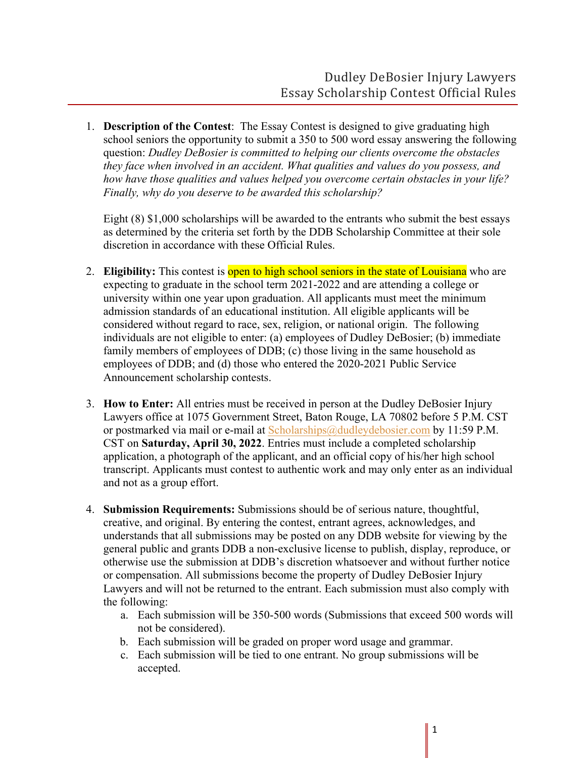1. **Description of the Contest**: The Essay Contest is designed to give graduating high school seniors the opportunity to submit a 350 to 500 word essay answering the following question: *Dudley DeBosier is committed to helping our clients overcome the obstacles they face when involved in an accident. What qualities and values do you possess, and how have those qualities and values helped you overcome certain obstacles in your life? Finally, why do you deserve to be awarded this scholarship?*

Eight (8) \$1,000 scholarships will be awarded to the entrants who submit the best essays as determined by the criteria set forth by the DDB Scholarship Committee at their sole discretion in accordance with these Official Rules.

- 2. **Eligibility:** This contest is open to high school seniors in the state of Louisiana who are expecting to graduate in the school term 2021-2022 and are attending a college or university within one year upon graduation. All applicants must meet the minimum admission standards of an educational institution. All eligible applicants will be considered without regard to race, sex, religion, or national origin. The following individuals are not eligible to enter: (a) employees of Dudley DeBosier; (b) immediate family members of employees of DDB; (c) those living in the same household as employees of DDB; and (d) those who entered the 2020-2021 Public Service Announcement scholarship contests.
- 3. **How to Enter:** All entries must be received in person at the Dudley DeBosier Injury Lawyers office at 1075 Government Street, Baton Rouge, LA 70802 before 5 P.M. CST or postmarked via mail or e-mail at Scholarships@dudleydebosier.com by 11:59 P.M. CST on **Saturday, April 30, 2022**. Entries must include a completed scholarship application, a photograph of the applicant, and an official copy of his/her high school transcript. Applicants must contest to authentic work and may only enter as an individual and not as a group effort.
- 4. **Submission Requirements:** Submissions should be of serious nature, thoughtful, creative, and original. By entering the contest, entrant agrees, acknowledges, and understands that all submissions may be posted on any DDB website for viewing by the general public and grants DDB a non-exclusive license to publish, display, reproduce, or otherwise use the submission at DDB's discretion whatsoever and without further notice or compensation. All submissions become the property of Dudley DeBosier Injury Lawyers and will not be returned to the entrant. Each submission must also comply with the following:
	- a. Each submission will be 350-500 words (Submissions that exceed 500 words will not be considered).
	- b. Each submission will be graded on proper word usage and grammar.
	- c. Each submission will be tied to one entrant. No group submissions will be accepted.